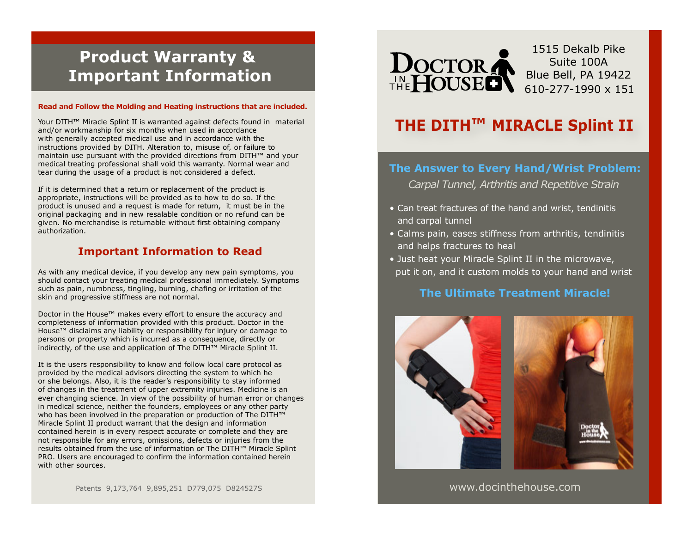# **Product Warranty & Important Information**

#### **Read and Follow the Molding and Heating instructions that are included.**

Your DITH™ Miracle Splint II is warranted against defects found in material and/or workmanship for six months when used in accordance with generally accepted medical use and in accordance with the instructions provided by DITH. Alteration to, misuse of, or failure to maintain use pursuant with the provided directions from DITH™ and your medical treating professional shall void this warranty. Normal wear and tear during the usage of a product is not considered a defect.

If it is determined that a return or replacement of the product is appropriate, instructions will be provided as to how to do so. If the product is unused and a request is made for return, it must be in the original packaging and in new resalable condition or no refund can be given. No merchandise is returnable without first obtaining company authorization.

#### **Important Information to Read**

As with any medical device, if you develop any new pain symptoms, you should contact your treating medical professional immediately. Symptoms such as pain, numbness, tingling, burning, chafing or irritation of the skin and progressive stiffness are not normal.

Doctor in the House™ makes every effort to ensure the accuracy and completeness of information provided with this product. Doctor in the House™ disclaims any liability or responsibility for injury or damage to persons or property which is incurred as a consequence, directly or indirectly, of the use and application of The DITH™ Miracle Splint II.

It is the users responsibility to know and follow local care protocol as provided by the medical advisors directing the system to which he or she belongs. Also, it is the reader's responsibility to stay informed of changes in the treatment of upper extremity injuries. Medicine is an ever changing science. In view of the possibility of human error or changes in medical science, neither the founders, employees or any other party who has been involved in the preparation or production of The DITH™ Miracle Splint II product warrant that the design and information contained herein is in every respect accurate or complete and they are not responsible for any errors, omissions, defects or injuries from the results obtained from the use of information or The DITH™ Miracle Splint PRO. Users are encouraged to confirm the information contained herein with other sources.

Patents 9,173,764 9,895,251 D779,075 D824527S



1515 Dekalb Pike Suite 100A Blue Bell, PA 19422 610-277-1990 x 151

## **THE DITH™ MIRACLE Splint II**

#### **The Answer to Every Hand/Wrist Problem:**

*Carpal Tunnel, Arthritis and Repetitive Strain* 

- Can treat fractures of the hand and wrist, tendinitis and carpal tunnel
- Calms pain, eases stiffness from arthritis, tendinitis and helps fractures to heal
- Just heat your Miracle Splint II in the microwave, put it on, and it custom molds to your hand and wrist

#### **The Ultimate Treatment Miracle!**



www.docinthehouse.com